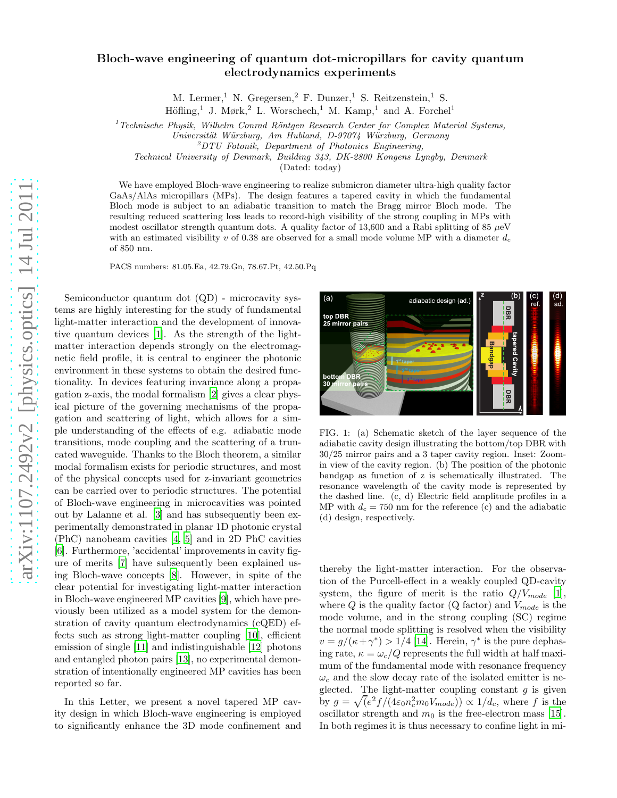## Bloch-wave engineering of quantum dot-micropillars for cavity quantum electrodynamics experiments

M. Lermer,<sup>1</sup> N. Gregersen,<sup>2</sup> F. Dunzer,<sup>1</sup> S. Reitzenstein,<sup>1</sup> S.

Höfling,<sup>1</sup> J. Mørk,<sup>2</sup> L. Worschech,<sup>1</sup> M. Kamp,<sup>1</sup> and A. Forchel<sup>1</sup>

 $1$ <sup>T</sup>Echnische Physik, Wilhelm Conrad Röntgen Research Center for Complex Material Systems,

Universität Würzburg, Am Hubland, D-97074 Würzburg, Germany

Technical University of Denmark, Building 343, DK-2800 Kongens Lyngby, Denmark

(Dated: today)

We have employed Bloch-wave engineering to realize submicron diameter ultra-high quality factor GaAs/AlAs micropillars (MPs). The design features a tapered cavity in which the fundamental Bloch mode is subject to an adiabatic transition to match the Bragg mirror Bloch mode. The resulting reduced scattering loss leads to record-high visibility of the strong coupling in MPs with modest oscillator strength quantum dots. A quality factor of 13,600 and a Rabi splitting of 85  $\mu$ eV with an estimated visibility v of 0.38 are observed for a small mode volume MP with a diameter  $d_c$ of 850 nm.

PACS numbers: 81.05.Ea, 42.79.Gn, 78.67.Pt, 42.50.Pq

Semiconductor quantum dot (QD) - microcavity systems are highly interesting for the study of fundamental light-matter interaction and the development of innovative quantum devices [\[1\]](#page-3-0). As the strength of the lightmatter interaction depends strongly on the electromagnetic field profile, it is central to engineer the photonic environment in these systems to obtain the desired functionality. In devices featuring invariance along a propagation z-axis, the modal formalism [\[2\]](#page-3-1) gives a clear physical picture of the governing mechanisms of the propagation and scattering of light, which allows for a simple understanding of the effects of e.g. adiabatic mode transitions, mode coupling and the scattering of a truncated waveguide. Thanks to the Bloch theorem, a similar modal formalism exists for periodic structures, and most of the physical concepts used for z-invariant geometries can be carried over to periodic structures. The potential of Bloch-wave engineering in microcavities was pointed out by Lalanne et al. [\[3](#page-3-2)] and has subsequently been experimentally demonstrated in planar 1D photonic crystal (PhC) nanobeam cavities [\[4](#page-3-3), [5\]](#page-3-4) and in 2D PhC cavities [\[6\]](#page-3-5). Furthermore, 'accidental' improvements in cavity figure of merits [\[7](#page-3-6)] have subsequently been explained using Bloch-wave concepts [\[8](#page-3-7)]. However, in spite of the clear potential for investigating light-matter interaction in Bloch-wave engineered MP cavities [\[9\]](#page-3-8), which have previously been utilized as a model system for the demonstration of cavity quantum electrodynamics (cQED) effects such as strong light-matter coupling [\[10\]](#page-3-9), efficient emission of single [\[11\]](#page-3-10) and indistinguishable [\[12\]](#page-3-11) photons and entangled photon pairs [\[13\]](#page-3-12), no experimental demonstration of intentionally engineered MP cavities has been reported so far.

In this Letter, we present a novel tapered MP cavity design in which Bloch-wave engineering is employed to significantly enhance the 3D mode confinement and



FIG. 1: (a) Schematic sketch of the layer sequence of the adiabatic cavity design illustrating the bottom/top DBR with 30/25 mirror pairs and a 3 taper cavity region. Inset: Zoomin view of the cavity region. (b) The position of the photonic bandgap as function of z is schematically illustrated. The resonance wavelength of the cavity mode is represented by the dashed line. (c, d) Electric field amplitude profiles in a MP with  $d_c = 750$  nm for the reference (c) and the adiabatic (d) design, respectively.

thereby the light-matter interaction. For the observation of the Purcell-effect in a weakly coupled QD-cavity system, the figure of merit is the ratio  $Q/V_{mode}$  [\[1\]](#page-3-0), where  $Q$  is the quality factor (Q factor) and  $V_{mode}$  is the mode volume, and in the strong coupling (SC) regime the normal mode splitting is resolved when the visibility  $v = g/(\kappa + \gamma^*) > 1/4$  [\[14](#page-3-13)]. Herein,  $\gamma^*$  is the pure dephasing rate,  $\kappa = \omega_c/Q$  represents the full width at half maximum of the fundamental mode with resonance frequency  $\omega_c$  and the slow decay rate of the isolated emitter is neglected. The light-matter coupling constant  $g$  is given by  $g = \sqrt{\left(e^2 f / (4\varepsilon_0 n_c^2 m_0 V_{mode})\right)} \propto 1/d_c$ , where f is the oscillator strength and  $m_0$  is the free-electron mass [\[15\]](#page-3-14). In both regimes it is thus necessary to confine light in mi-

 $^{2}DTU$  Fotonik, Department of Photonics Engineering,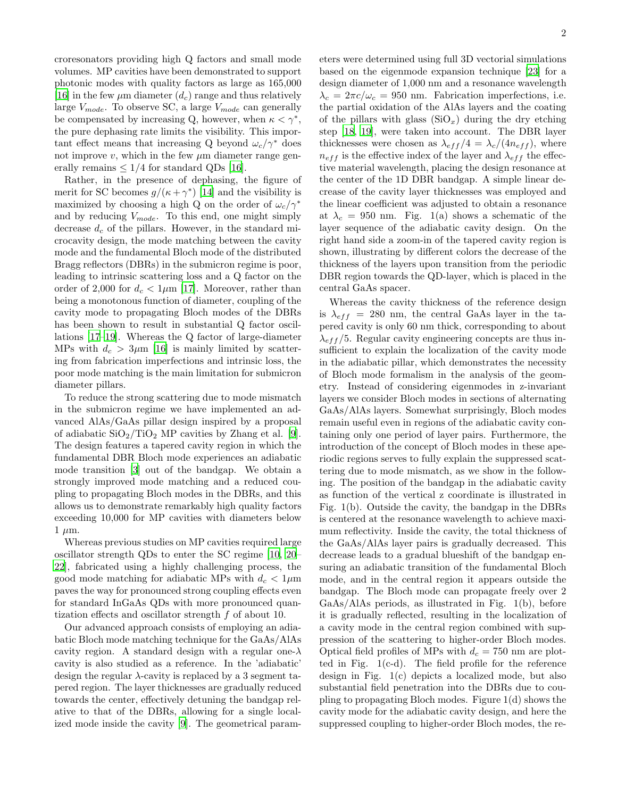croresonators providing high Q factors and small mode volumes. MP cavities have been demonstrated to support photonic modes with quality factors as large as 165,000 [\[16\]](#page-3-15) in the few  $\mu$ m diameter  $(d_c)$  range and thus relatively large  $V_{mode}$ . To observe SC, a large  $V_{mode}$  can generally be compensated by increasing Q, however, when  $\kappa < \gamma^*$ , the pure dephasing rate limits the visibility. This important effect means that increasing Q beyond  $\omega_c/\gamma^*$  does not improve  $v$ , which in the few  $\mu$ m diameter range generally remains  $\leq 1/4$  for standard QDs [\[16\]](#page-3-15).

Rather, in the presence of dephasing, the figure of merit for SC becomes  $g/(\kappa + \gamma^*)$  [\[14\]](#page-3-13) and the visibility is maximized by choosing a high Q on the order of  $\omega_c/\gamma^*$ and by reducing  $V_{mode}$ . To this end, one might simply decrease  $d_c$  of the pillars. However, in the standard microcavity design, the mode matching between the cavity mode and the fundamental Bloch mode of the distributed Bragg reflectors (DBRs) in the submicron regime is poor, leading to intrinsic scattering loss and a Q factor on the order of 2,000 for  $d_c < 1 \mu m$  [\[17\]](#page-3-16). Moreover, rather than being a monotonous function of diameter, coupling of the cavity mode to propagating Bloch modes of the DBRs has been shown to result in substantial Q factor oscillations [\[17](#page-3-16)[–19](#page-3-17)]. Whereas the Q factor of large-diameter MPs with  $d_c > 3 \mu m$  [\[16\]](#page-3-15) is mainly limited by scattering from fabrication imperfections and intrinsic loss, the poor mode matching is the main limitation for submicron diameter pillars.

To reduce the strong scattering due to mode mismatch in the submicron regime we have implemented an advanced AlAs/GaAs pillar design inspired by a proposal of adiabatic  $\text{SiO}_2/\text{TiO}_2$  MP cavities by Zhang et al. [\[9\]](#page-3-8). The design features a tapered cavity region in which the fundamental DBR Bloch mode experiences an adiabatic mode transition [\[3\]](#page-3-2) out of the bandgap. We obtain a strongly improved mode matching and a reduced coupling to propagating Bloch modes in the DBRs, and this allows us to demonstrate remarkably high quality factors exceeding 10,000 for MP cavities with diameters below  $1 \mu m$ .

Whereas previous studies on MP cavities required large oscillator strength QDs to enter the SC regime [\[10,](#page-3-9) [20](#page-3-18)– [22\]](#page-3-19), fabricated using a highly challenging process, the good mode matching for adiabatic MPs with  $d_c < 1 \mu m$ paves the way for pronounced strong coupling effects even for standard InGaAs QDs with more pronounced quantization effects and oscillator strength f of about 10.

Our advanced approach consists of employing an adiabatic Bloch mode matching technique for the GaAs/AlAs cavity region. A standard design with a regular one- $\lambda$ cavity is also studied as a reference. In the 'adiabatic' design the regular  $\lambda$ -cavity is replaced by a 3 segment tapered region. The layer thicknesses are gradually reduced towards the center, effectively detuning the bandgap relative to that of the DBRs, allowing for a single localized mode inside the cavity [\[9](#page-3-8)]. The geometrical parameters were determined using full 3D vectorial simulations based on the eigenmode expansion technique [\[23\]](#page-3-20) for a design diameter of 1,000 nm and a resonance wavelength  $\lambda_c = 2\pi c/\omega_c = 950$  nm. Fabrication imperfections, i.e. the partial oxidation of the AlAs layers and the coating of the pillars with glass  $(SiO<sub>x</sub>)$  during the dry etching step [\[18,](#page-3-21) [19\]](#page-3-17), were taken into account. The DBR layer thicknesses were chosen as  $\lambda_{eff}/4 = \lambda_c/(4n_{eff})$ , where  $n_{eff}$  is the effective index of the layer and  $\lambda_{eff}$  the effective material wavelength, placing the design resonance at the center of the 1D DBR bandgap. A simple linear decrease of the cavity layer thicknesses was employed and the linear coefficient was adjusted to obtain a resonance at  $\lambda_c = 950$  nm. Fig. 1(a) shows a schematic of the layer sequence of the adiabatic cavity design. On the right hand side a zoom-in of the tapered cavity region is shown, illustrating by different colors the decrease of the thickness of the layers upon transition from the periodic DBR region towards the QD-layer, which is placed in the central GaAs spacer.

Whereas the cavity thickness of the reference design is  $\lambda_{eff}$  = 280 nm, the central GaAs layer in the tapered cavity is only 60 nm thick, corresponding to about  $\lambda_{eff}$ /5. Regular cavity engineering concepts are thus insufficient to explain the localization of the cavity mode in the adiabatic pillar, which demonstrates the necessity of Bloch mode formalism in the analysis of the geometry. Instead of considering eigenmodes in z-invariant layers we consider Bloch modes in sections of alternating GaAs/AlAs layers. Somewhat surprisingly, Bloch modes remain useful even in regions of the adiabatic cavity containing only one period of layer pairs. Furthermore, the introduction of the concept of Bloch modes in these aperiodic regions serves to fully explain the suppressed scattering due to mode mismatch, as we show in the following. The position of the bandgap in the adiabatic cavity as function of the vertical z coordinate is illustrated in Fig. 1(b). Outside the cavity, the bandgap in the DBRs is centered at the resonance wavelength to achieve maximum reflectivity. Inside the cavity, the total thickness of the GaAs/AlAs layer pairs is gradually decreased. This decrease leads to a gradual blueshift of the bandgap ensuring an adiabatic transition of the fundamental Bloch mode, and in the central region it appears outside the bandgap. The Bloch mode can propagate freely over 2 GaAs/AlAs periods, as illustrated in Fig. 1(b), before it is gradually reflected, resulting in the localization of a cavity mode in the central region combined with suppression of the scattering to higher-order Bloch modes. Optical field profiles of MPs with  $d_c = 750$  nm are plotted in Fig. 1(c-d). The field profile for the reference design in Fig. 1(c) depicts a localized mode, but also substantial field penetration into the DBRs due to coupling to propagating Bloch modes. Figure 1(d) shows the cavity mode for the adiabatic cavity design, and here the suppressed coupling to higher-order Bloch modes, the re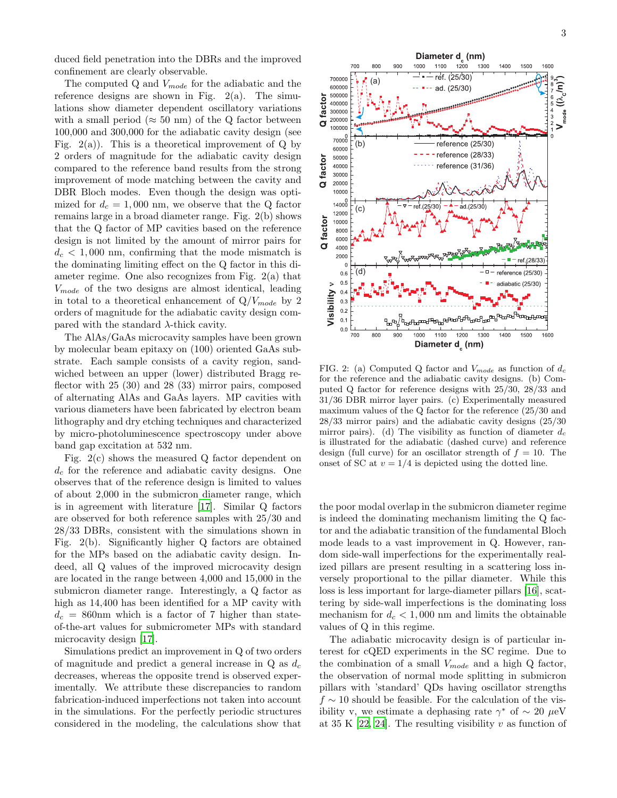duced field penetration into the DBRs and the improved confinement are clearly observable.

The computed Q and  $V_{mode}$  for the adiabatic and the reference designs are shown in Fig.  $2(a)$ . The simulations show diameter dependent oscillatory variations with a small period ( $\approx$  50 nm) of the Q factor between 100,000 and 300,000 for the adiabatic cavity design (see Fig.  $2(a)$ ). This is a theoretical improvement of Q by 2 orders of magnitude for the adiabatic cavity design compared to the reference band results from the strong improvement of mode matching between the cavity and DBR Bloch modes. Even though the design was optimized for  $d_c = 1,000$  nm, we observe that the Q factor remains large in a broad diameter range. Fig. 2(b) shows that the Q factor of MP cavities based on the reference design is not limited by the amount of mirror pairs for  $d_c < 1,000$  nm, confirming that the mode mismatch is the dominating limiting effect on the Q factor in this diameter regime. One also recognizes from Fig. 2(a) that  $V_{mode}$  of the two designs are almost identical, leading in total to a theoretical enhancement of  $Q/V_{mode}$  by 2 orders of magnitude for the adiabatic cavity design compared with the standard  $\lambda$ -thick cavity.

The AlAs/GaAs microcavity samples have been grown by molecular beam epitaxy on (100) oriented GaAs substrate. Each sample consists of a cavity region, sandwiched between an upper (lower) distributed Bragg reflector with 25 (30) and 28 (33) mirror pairs, composed of alternating AlAs and GaAs layers. MP cavities with various diameters have been fabricated by electron beam lithography and dry etching techniques and characterized by micro-photoluminescence spectroscopy under above band gap excitation at 532 nm.

Fig. 2(c) shows the measured Q factor dependent on  $d_c$  for the reference and adiabatic cavity designs. One observes that of the reference design is limited to values of about 2,000 in the submicron diameter range, which is in agreement with literature [\[17\]](#page-3-16). Similar Q factors are observed for both reference samples with 25/30 and 28/33 DBRs, consistent with the simulations shown in Fig. 2(b). Significantly higher Q factors are obtained for the MPs based on the adiabatic cavity design. Indeed, all Q values of the improved microcavity design are located in the range between 4,000 and 15,000 in the submicron diameter range. Interestingly, a Q factor as high as 14,400 has been identified for a MP cavity with  $d_c = 860$ nm which is a factor of 7 higher than stateof-the-art values for submicrometer MPs with standard microcavity design [\[17](#page-3-16)].

Simulations predict an improvement in Q of two orders of magnitude and predict a general increase in  $Q$  as  $d_c$ decreases, whereas the opposite trend is observed experimentally. We attribute these discrepancies to random fabrication-induced imperfections not taken into account in the simulations. For the perfectly periodic structures considered in the modeling, the calculations show that



factor

 $\sigma$ 

factor

 $\alpha$ 

factor

 $\sigma$ 

 $0.0$ 700

800

900

1000

FIG. 2: (a) Computed Q factor and  $V_{mode}$  as function of  $d_c$ for the reference and the adiabatic cavity designs. (b) Computed Q factor for reference designs with 25/30, 28/33 and 31/36 DBR mirror layer pairs. (c) Experimentally measured maximum values of the Q factor for the reference (25/30 and 28/33 mirror pairs) and the adiabatic cavity designs (25/30 mirror pairs). (d) The visibility as function of diameter  $d_c$ is illustrated for the adiabatic (dashed curve) and reference design (full curve) for an oscillator strength of  $f = 10$ . The onset of SC at  $v = 1/4$  is depicted using the dotted line.

1100

Diameter d<sub>.</sub> (nm)

1200

1300

1400

1500

1600

the poor modal overlap in the submicron diameter regime is indeed the dominating mechanism limiting the Q factor and the adiabatic transition of the fundamental Bloch mode leads to a vast improvement in Q. However, random side-wall imperfections for the experimentally realized pillars are present resulting in a scattering loss inversely proportional to the pillar diameter. While this loss is less important for large-diameter pillars [\[16\]](#page-3-15), scattering by side-wall imperfections is the dominating loss mechanism for  $d_c < 1,000$  nm and limits the obtainable values of Q in this regime.

The adiabatic microcavity design is of particular interest for cQED experiments in the SC regime. Due to the combination of a small  $V_{mode}$  and a high Q factor, the observation of normal mode splitting in submicron pillars with 'standard' QDs having oscillator strengths  $f \sim 10$  should be feasible. For the calculation of the visibility v, we estimate a dephasing rate  $\gamma^*$  of  $\sim 20 \mu$ eV at 35 K  $[22, 24]$  $[22, 24]$  $[22, 24]$ . The resulting visibility v as function of